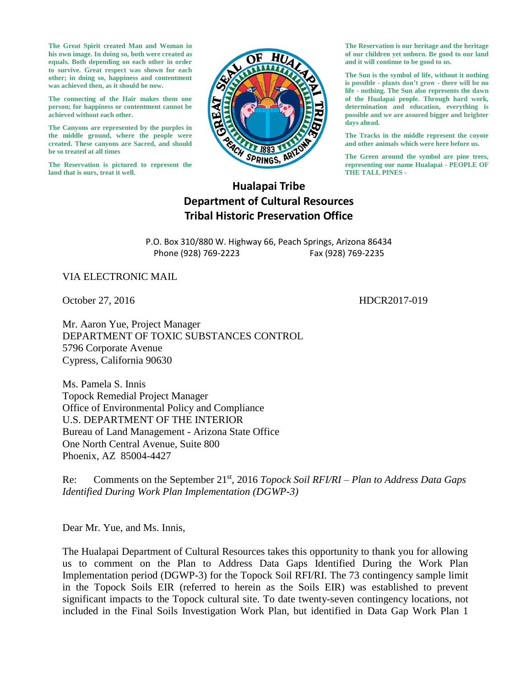**The Great Spirit created Man and Woman in his own image. In doing so, both were created as equals. Both depending on each other in order to survive. Great respect was shown for each other; in doing so, happiness and contentment was achieved then, as it should be now.**

**The connecting of the Hair makes them one person; for happiness or contentment cannot be achieved without each other.**

**The Canyons are represented by the purples in the middle ground, where the people were created. These canyons are Sacred, and should be so treated at all times**

**The Reservation is pictured to represent the land that is ours, treat it well.**



**The Reservation is our heritage and the heritage of our children yet unborn. Be good to our land and it will continue to be good to us.**

**The Sun is the symbol of life, without it nothing is possible - plants don't grow - there will be no life - nothing. The Sun also represents the dawn of the Hualapai people. Through hard work, determination and education, everything is possible and we are assured bigger and brighter days ahead.**

**The Tracks in the middle represent the coyote and other animals which were here before us.**

**The Green around the symbol are pine trees, representing our name Hualapai - PEOPLE OF THE TALL PINES -**

## **Hualapai Tribe Department of Cultural Resources Tribal Historic Preservation Office**

P.O. Box 310/880 W. Highway 66, Peach Springs, Arizona 86434 Phone (928) 769-2223 Fax (928) 769-2235

VIA ELECTRONIC MAIL

October 27, 2016 **HDCR2017-019** 

Mr. Aaron Yue, Project Manager DEPARTMENT OF TOXIC SUBSTANCES CONTROL 5796 Corporate Avenue Cypress, California 90630

Ms. Pamela S. Innis Topock Remedial Project Manager Office of Environmental Policy and Compliance U.S. DEPARTMENT OF THE INTERIOR Bureau of Land Management - Arizona State Office One North Central Avenue, Suite 800 Phoenix, AZ 85004-4427

Re: Comments on the September 21st, 2016 *Topock Soil RFI/RI – Plan to Address Data Gaps Identified During Work Plan Implementation (DGWP-3)*

Dear Mr. Yue, and Ms. Innis,

The Hualapai Department of Cultural Resources takes this opportunity to thank you for allowing us to comment on the Plan to Address Data Gaps Identified During the Work Plan Implementation period (DGWP-3) for the Topock Soil RFI/RI. The 73 contingency sample limit in the Topock Soils EIR (referred to herein as the Soils EIR) was established to prevent significant impacts to the Topock cultural site. To date twenty-seven contingency locations, not included in the Final Soils Investigation Work Plan, but identified in Data Gap Work Plan 1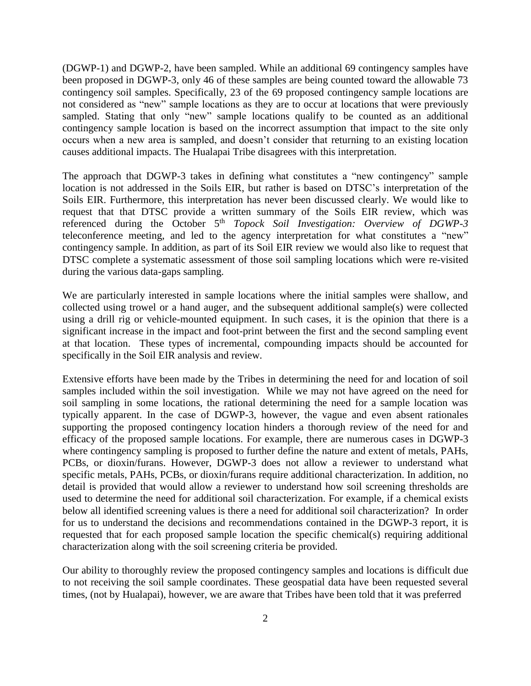(DGWP-1) and DGWP-2, have been sampled. While an additional 69 contingency samples have been proposed in DGWP-3, only 46 of these samples are being counted toward the allowable 73 contingency soil samples. Specifically, 23 of the 69 proposed contingency sample locations are not considered as "new" sample locations as they are to occur at locations that were previously sampled. Stating that only "new" sample locations qualify to be counted as an additional contingency sample location is based on the incorrect assumption that impact to the site only occurs when a new area is sampled, and doesn't consider that returning to an existing location causes additional impacts. The Hualapai Tribe disagrees with this interpretation.

The approach that DGWP-3 takes in defining what constitutes a "new contingency" sample location is not addressed in the Soils EIR, but rather is based on DTSC's interpretation of the Soils EIR. Furthermore, this interpretation has never been discussed clearly. We would like to request that that DTSC provide a written summary of the Soils EIR review, which was referenced during the October 5th *Topock Soil Investigation: Overview of DGWP-3* teleconference meeting, and led to the agency interpretation for what constitutes a "new" contingency sample. In addition, as part of its Soil EIR review we would also like to request that DTSC complete a systematic assessment of those soil sampling locations which were re-visited during the various data-gaps sampling.

We are particularly interested in sample locations where the initial samples were shallow, and collected using trowel or a hand auger, and the subsequent additional sample(s) were collected using a drill rig or vehicle-mounted equipment. In such cases, it is the opinion that there is a significant increase in the impact and foot-print between the first and the second sampling event at that location. These types of incremental, compounding impacts should be accounted for specifically in the Soil EIR analysis and review.

Extensive efforts have been made by the Tribes in determining the need for and location of soil samples included within the soil investigation. While we may not have agreed on the need for soil sampling in some locations, the rational determining the need for a sample location was typically apparent. In the case of DGWP-3, however, the vague and even absent rationales supporting the proposed contingency location hinders a thorough review of the need for and efficacy of the proposed sample locations. For example, there are numerous cases in DGWP-3 where contingency sampling is proposed to further define the nature and extent of metals, PAHs, PCBs, or dioxin/furans. However, DGWP-3 does not allow a reviewer to understand what specific metals, PAHs, PCBs, or dioxin/furans require additional characterization. In addition, no detail is provided that would allow a reviewer to understand how soil screening thresholds are used to determine the need for additional soil characterization. For example, if a chemical exists below all identified screening values is there a need for additional soil characterization? In order for us to understand the decisions and recommendations contained in the DGWP-3 report, it is requested that for each proposed sample location the specific chemical(s) requiring additional characterization along with the soil screening criteria be provided.

Our ability to thoroughly review the proposed contingency samples and locations is difficult due to not receiving the soil sample coordinates. These geospatial data have been requested several times, (not by Hualapai), however, we are aware that Tribes have been told that it was preferred